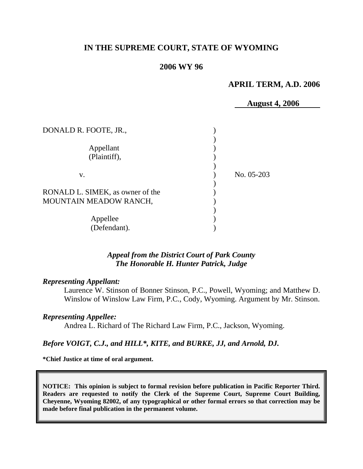# **IN THE SUPREME COURT, STATE OF WYOMING**

### **2006 WY 96**

#### **APRIL TERM, A.D. 2006**

 **August 4, 2006**  DONALD R. FOOTE, JR., (2004)  $\overline{\phantom{a}}$ Appellant (1) (Plaintiff), )  $\overline{\phantom{a}}$  v. ) No. 05-203  $\overline{\phantom{a}}$ RONALD L. SIMEK, as owner of the MOUNTAIN MEADOW RANCH,  $\overline{\phantom{a}}$ Appellee (a) (Defendant).

# *Appeal from the District Court of Park County The Honorable H. Hunter Patrick, Judge*

#### *Representing Appellant:*

Laurence W. Stinson of Bonner Stinson, P.C., Powell, Wyoming; and Matthew D. Winslow of Winslow Law Firm, P.C., Cody, Wyoming. Argument by Mr. Stinson.

#### *Representing Appellee:*

Andrea L. Richard of The Richard Law Firm, P.C., Jackson, Wyoming.

#### *Before VOIGT, C.J., and HILL\*, KITE, and BURKE, JJ, and Arnold, DJ.*

**\*Chief Justice at time of oral argument.** 

**NOTICE: This opinion is subject to formal revision before publication in Pacific Reporter Third. Readers are requested to notify the Clerk of the Supreme Court, Supreme Court Building, Cheyenne, Wyoming 82002, of any typographical or other formal errors so that correction may be made before final publication in the permanent volume.**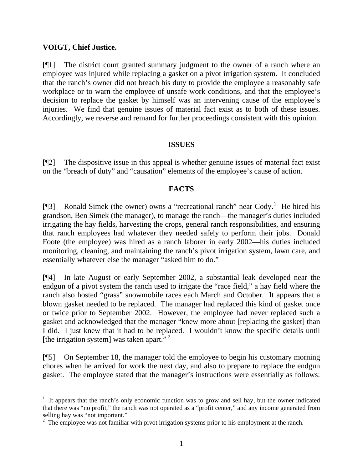# **VOIGT, Chief Justice.**

 $\overline{a}$ 

[¶1] The district court granted summary judgment to the owner of a ranch where an employee was injured while replacing a gasket on a pivot irrigation system. It concluded that the ranch's owner did not breach his duty to provide the employee a reasonably safe workplace or to warn the employee of unsafe work conditions, and that the employee's decision to replace the gasket by himself was an intervening cause of the employee's injuries. We find that genuine issues of material fact exist as to both of these issues. Accordingly, we reverse and remand for further proceedings consistent with this opinion.

# **ISSUES**

[¶2] The dispositive issue in this appeal is whether genuine issues of material fact exist on the "breach of duty" and "causation" elements of the employee's cause of action.

# **FACTS**

[ $[$ ] Ronald Simek (the owner) owns a "recreational ranch" near Cody.<sup>[1](#page-1-0)</sup> He hired his grandson, Ben Simek (the manager), to manage the ranch—the manager's duties included irrigating the hay fields, harvesting the crops, general ranch responsibilities, and ensuring that ranch employees had whatever they needed safely to perform their jobs. Donald Foote (the employee) was hired as a ranch laborer in early 2002—his duties included monitoring, cleaning, and maintaining the ranch's pivot irrigation system, lawn care, and essentially whatever else the manager "asked him to do."

[¶4] In late August or early September 2002, a substantial leak developed near the endgun of a pivot system the ranch used to irrigate the "race field," a hay field where the ranch also hosted "grass" snowmobile races each March and October. It appears that a blown gasket needed to be replaced. The manager had replaced this kind of gasket once or twice prior to September 2002. However, the employee had never replaced such a gasket and acknowledged that the manager "knew more about [replacing the gasket] than I did. I just knew that it had to be replaced. I wouldn't know the specific details until [the irrigation system] was taken apart. $\cdot$ <sup>[2](#page-1-1)</sup>

[¶5] On September 18, the manager told the employee to begin his customary morning chores when he arrived for work the next day, and also to prepare to replace the endgun gasket. The employee stated that the manager's instructions were essentially as follows:

<span id="page-1-0"></span><sup>1</sup> It appears that the ranch's only economic function was to grow and sell hay, but the owner indicated that there was "no profit," the ranch was not operated as a "profit center," and any income generated from selling hay was "not important."

<span id="page-1-1"></span> $2\degree$  The employee was not familiar with pivot irrigation systems prior to his employment at the ranch.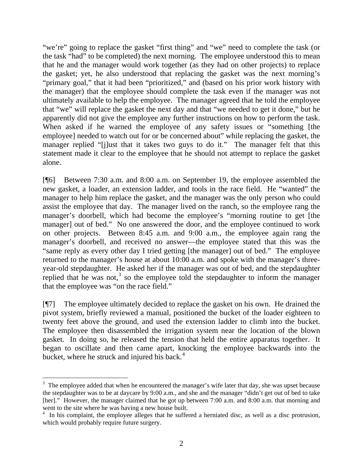"we're" going to replace the gasket "first thing" and "we" need to complete the task (or the task "had" to be completed) the next morning. The employee understood this to mean that he and the manager would work together (as they had on other projects) to replace the gasket; yet, he also understood that replacing the gasket was the next morning's "primary goal," that it had been "prioritized," and (based on his prior work history with the manager) that the employee should complete the task even if the manager was not ultimately available to help the employee. The manager agreed that he told the employee that "we" will replace the gasket the next day and that "we needed to get it done," but he apparently did not give the employee any further instructions on how to perform the task. When asked if he warned the employee of any safety issues or "something [the employee] needed to watch out for or be concerned about" while replacing the gasket, the manager replied "[j]ust that it takes two guys to do it." The manager felt that this statement made it clear to the employee that he should not attempt to replace the gasket alone.

[¶6] Between 7:30 a.m. and 8:00 a.m. on September 19, the employee assembled the new gasket, a loader, an extension ladder, and tools in the race field. He "wanted" the manager to help him replace the gasket, and the manager was the only person who could assist the employee that day. The manager lived on the ranch, so the employee rang the manager's doorbell, which had become the employee's "morning routine to get [the manager] out of bed." No one answered the door, and the employee continued to work on other projects. Between 8:45 a.m. and 9:00 a.m., the employee again rang the manager's doorbell, and received no answer—the employee stated that this was the "same reply as every other day I tried getting [the manager] out of bed." The employee returned to the manager's house at about 10:00 a.m. and spoke with the manager's threeyear-old stepdaughter. He asked her if the manager was out of bed, and the stepdaughter replied that he was not,<sup>[3](#page-2-0)</sup> so the employee told the stepdaughter to inform the manager that the employee was "on the race field."

[¶7] The employee ultimately decided to replace the gasket on his own. He drained the pivot system, briefly reviewed a manual, positioned the bucket of the loader eighteen to twenty feet above the ground, and used the extension ladder to climb into the bucket. The employee then disassembled the irrigation system near the location of the blown gasket. In doing so, he released the tension that held the entire apparatus together. It began to oscillate and then came apart, knocking the employee backwards into the bucket, where he struck and injured his back.<sup>[4](#page-2-1)</sup>

<span id="page-2-0"></span> $3\text{ }$  The employee added that when he encountered the manager's wife later that day, she was upset because the stepdaughter was to be at daycare by 9:00 a.m., and she and the manager "didn't get out of bed to take [her]." However, the manager claimed that he got up between 7:00 a.m. and 8:00 a.m. that morning and went to the site where he was having a new house built.

<span id="page-2-1"></span><sup>&</sup>lt;sup>4</sup> In his complaint, the employee alleges that he suffered a herniated disc, as well as a disc protrusion, which would probably require future surgery.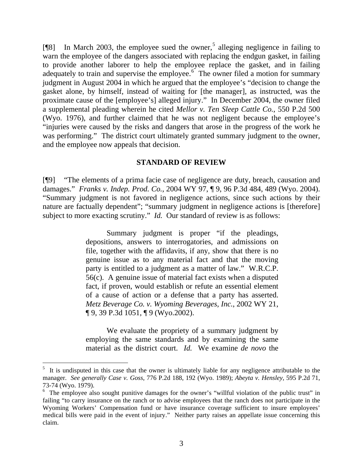[ $[$ [8] In March 2003, the employee sued the owner,<sup>[5](#page-3-0)</sup> alleging negligence in failing to warn the employee of the dangers associated with replacing the endgun gasket, in failing to provide another laborer to help the employee replace the gasket, and in failing adequately to train and supervise the employee.<sup>[6](#page-3-1)</sup> The owner filed a motion for summary judgment in August 2004 in which he argued that the employee's "decision to change the gasket alone, by himself, instead of waiting for [the manager], as instructed, was the proximate cause of the [employee's] alleged injury." In December 2004, the owner filed a supplemental pleading wherein he cited *Mellor v. Ten Sleep Cattle Co.*, 550 P.2d 500 (Wyo. 1976), and further claimed that he was not negligent because the employee's "injuries were caused by the risks and dangers that arose in the progress of the work he was performing." The district court ultimately granted summary judgment to the owner, and the employee now appeals that decision.

### **STANDARD OF REVIEW**

[¶9] "The elements of a prima facie case of negligence are duty, breach, causation and damages." *Franks v. Indep. Prod. Co.*, 2004 WY 97, ¶ 9, 96 P.3d 484, 489 (Wyo. 2004). "Summary judgment is not favored in negligence actions, since such actions by their nature are factually dependent"; "summary judgment in negligence actions is [therefore] subject to more exacting scrutiny." *Id.* Our standard of review is as follows:

> Summary judgment is proper "if the pleadings, depositions, answers to interrogatories, and admissions on file, together with the affidavits, if any, show that there is no genuine issue as to any material fact and that the moving party is entitled to a judgment as a matter of law." W.R.C.P. 56(c). A genuine issue of material fact exists when a disputed fact, if proven, would establish or refute an essential element of a cause of action or a defense that a party has asserted. *Metz Beverage Co. v. Wyoming Beverages, Inc.*, 2002 WY 21, ¶ 9, 39 P.3d 1051, ¶ 9 (Wyo.2002).

> We evaluate the propriety of a summary judgment by employing the same standards and by examining the same material as the district court. *Id.* We examine *de novo* the

<span id="page-3-0"></span><sup>5</sup> It is undisputed in this case that the owner is ultimately liable for any negligence attributable to the manager. *See generally Case v. Goss*, 776 P.2d 188, 192 (Wyo. 1989); *Abeyta v. Hensley,* 595 P.2d 71, 73-74 (Wyo. 1979).

<span id="page-3-1"></span><sup>&</sup>lt;sup>6</sup> The employee also sought punitive damages for the owner's "willful violation of the public trust" in failing "to carry insurance on the ranch or to advise employees that the ranch does not participate in the Wyoming Workers' Compensation fund or have insurance coverage sufficient to insure employees' medical bills were paid in the event of injury." Neither party raises an appellate issue concerning this claim.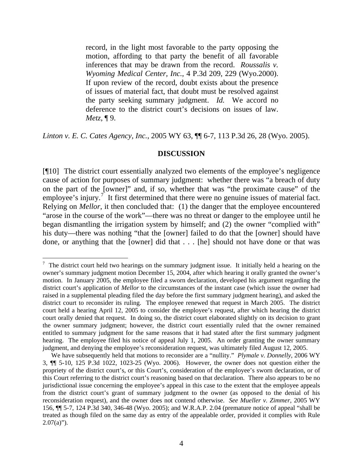record, in the light most favorable to the party opposing the motion, affording to that party the benefit of all favorable inferences that may be drawn from the record. *Roussalis v. Wyoming Medical Center, Inc.*, 4 P.3d 209, 229 (Wyo.2000). If upon review of the record, doubt exists about the presence of issues of material fact, that doubt must be resolved against the party seeking summary judgment. *Id.* We accord no deference to the district court's decisions on issues of law. *Metz*, ¶ 9.

*Linton v. E. C. Cates Agency, Inc.*, 2005 WY 63, ¶¶ 6-7, 113 P.3d 26, 28 (Wyo. 2005).

#### **DISCUSSION**

[¶10] The district court essentially analyzed two elements of the employee's negligence cause of action for purposes of summary judgment: whether there was "a breach of duty on the part of the [owner]" and, if so, whether that was "the proximate cause" of the employee's injury.<sup>[7](#page-4-0)</sup> It first determined that there were no genuine issues of material fact. Relying on *Mellor*, it then concluded that: (1) the danger that the employee encountered "arose in the course of the work"—there was no threat or danger to the employee until he began dismantling the irrigation system by himself; and (2) the owner "complied with" his duty—there was nothing "that the [owner] failed to do that the [owner] should have done, or anything that the [owner] did that . . . [he] should not have done or that was

<span id="page-4-0"></span> $7$  The district court held two hearings on the summary judgment issue. It initially held a hearing on the owner's summary judgment motion December 15, 2004, after which hearing it orally granted the owner's motion. In January 2005, the employee filed a sworn declaration, developed his argument regarding the district court's application of *Mellor* to the circumstances of the instant case (which issue the owner had raised in a supplemental pleading filed the day before the first summary judgment hearing), and asked the district court to reconsider its ruling. The employee renewed that request in March 2005. The district court held a hearing April 12, 2005 to consider the employee's request, after which hearing the district court orally denied that request. In doing so, the district court elaborated slightly on its decision to grant the owner summary judgment; however, the district court essentially ruled that the owner remained entitled to summary judgment for the same reasons that it had stated after the first summary judgment hearing. The employee filed his notice of appeal July 1, 2005. An order granting the owner summary judgment, and denying the employee's reconsideration request, was ultimately filed August 12, 2005.

We have subsequently held that motions to reconsider are a "nullity." *Plymale v. Donnelly*, 2006 WY 3, ¶¶ 5-10, 125 P.3d 1022, 1023-25 (Wyo. 2006). However, the owner does not question either the propriety of the district court's, or this Court's, consideration of the employee's sworn declaration, or of this Court referring to the district court's reasoning based on that declaration. There also appears to be no jurisdictional issue concerning the employee's appeal in this case to the extent that the employee appeals from the district court's grant of summary judgment to the owner (as opposed to the denial of his reconsideration request), and the owner does not contend otherwise. *See Mueller v. Zimmer*, 2005 WY 156, ¶¶ 5-7, 124 P.3d 340, 346-48 (Wyo. 2005); and W.R.A.P. 2.04 (premature notice of appeal "shall be treated as though filed on the same day as entry of the appealable order, provided it complies with Rule  $2.07(a)$ ").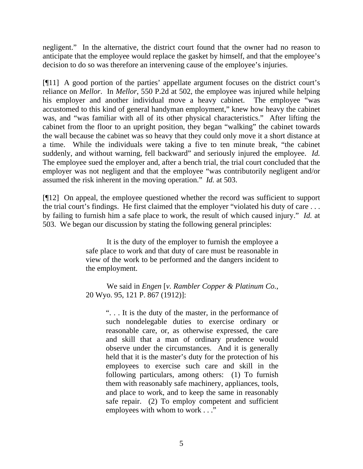negligent." In the alternative, the district court found that the owner had no reason to anticipate that the employee would replace the gasket by himself, and that the employee's decision to do so was therefore an intervening cause of the employee's injuries.

[¶11] A good portion of the parties' appellate argument focuses on the district court's reliance on *Mellor*. In *Mellor*, 550 P.2d at 502, the employee was injured while helping his employer and another individual move a heavy cabinet. The employee "was accustomed to this kind of general handyman employment," knew how heavy the cabinet was, and "was familiar with all of its other physical characteristics." After lifting the cabinet from the floor to an upright position, they began "walking" the cabinet towards the wall because the cabinet was so heavy that they could only move it a short distance at a time. While the individuals were taking a five to ten minute break, "the cabinet suddenly, and without warning, fell backward" and seriously injured the employee. *Id.* The employee sued the employer and, after a bench trial, the trial court concluded that the employer was not negligent and that the employee "was contributorily negligent and/or assumed the risk inherent in the moving operation." *Id.* at 503.

[¶12] On appeal, the employee questioned whether the record was sufficient to support the trial court's findings. He first claimed that the employer "violated his duty of care . . . by failing to furnish him a safe place to work, the result of which caused injury." *Id.* at 503. We began our discussion by stating the following general principles:

> It is the duty of the employer to furnish the employee a safe place to work and that duty of care must be reasonable in view of the work to be performed and the dangers incident to the employment.

> We said in *Engen* [*v. Rambler Copper & Platinum Co.*, 20 Wyo. 95, 121 P. 867 (1912)]:

". . . It is the duty of the master, in the performance of such nondelegable duties to exercise ordinary or reasonable care, or, as otherwise expressed, the care and skill that a man of ordinary prudence would observe under the circumstances. And it is generally held that it is the master's duty for the protection of his employees to exercise such care and skill in the following particulars, among others: (1) To furnish them with reasonably safe machinery, appliances, tools, and place to work, and to keep the same in reasonably safe repair. (2) To employ competent and sufficient employees with whom to work . . ."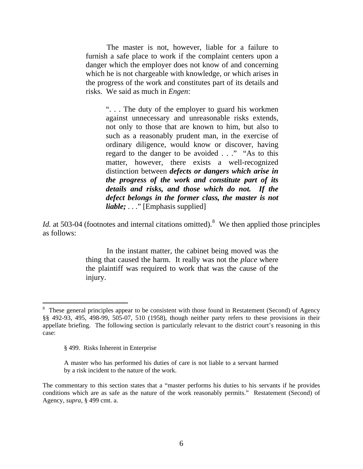The master is not, however, liable for a failure to furnish a safe place to work if the complaint centers upon a danger which the employer does not know of and concerning which he is not chargeable with knowledge, or which arises in the progress of the work and constitutes part of its details and risks. We said as much in *Engen*:

". . . The duty of the employer to guard his workmen against unnecessary and unreasonable risks extends, not only to those that are known to him, but also to such as a reasonably prudent man, in the exercise of ordinary diligence, would know or discover, having regard to the danger to be avoided . . ." "As to this matter, however, there exists a well-recognized distinction between *defects or dangers which arise in the progress of the work and constitute part of its details and risks, and those which do not. If the defect belongs in the former class, the master is not liable; ...*" [Emphasis supplied]

*Id.* at 503-04 (footnotes and internal citations omitted). <sup>[8](#page-6-0)</sup> We then applied those principles as follows:

> In the instant matter, the cabinet being moved was the thing that caused the harm. It really was not the *place* where the plaintiff was required to work that was the cause of the injury.

<span id="page-6-0"></span><sup>&</sup>lt;sup>8</sup> These general principles appear to be consistent with those found in Restatement (Second) of Agency §§ 492-93, 495, 498-99, 505-07, 510 (1958), though neither party refers to these provisions in their appellate briefing. The following section is particularly relevant to the district court's reasoning in this case:

<sup>§ 499.</sup> Risks Inherent in Enterprise

A master who has performed his duties of care is not liable to a servant harmed by a risk incident to the nature of the work.

The commentary to this section states that a "master performs his duties to his servants if he provides conditions which are as safe as the nature of the work reasonably permits." Restatement (Second) of Agency, *supra*, § 499 cmt. a.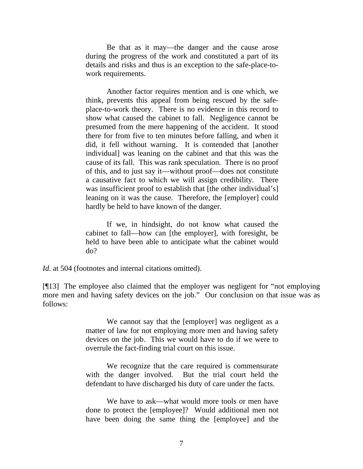Be that as it may—the danger and the cause arose during the progress of the work and constituted a part of its details and risks and thus is an exception to the safe-place-towork requirements.

 Another factor requires mention and is one which, we think, prevents this appeal from being rescued by the safeplace-to-work theory. There is no evidence in this record to show what caused the cabinet to fall. Negligence cannot be presumed from the mere happening of the accident. It stood there for from five to ten minutes before falling, and when it did, it fell without warning. It is contended that [another individual] was leaning on the cabinet and that this was the cause of its fall. This was rank speculation. There is no proof of this, and to just say it—without proof—does not constitute a causative fact to which we will assign credibility. There was insufficient proof to establish that [the other individual's] leaning on it was the cause. Therefore, the [employer] could hardly be held to have known of the danger.

 If we, in hindsight, do not know what caused the cabinet to fall—how can [the employer], with foresight, be held to have been able to anticipate what the cabinet would do?

*Id.* at 504 (footnotes and internal citations omitted).

[¶13] The employee also claimed that the employer was negligent for "not employing more men and having safety devices on the job." Our conclusion on that issue was as follows:

> We cannot say that the [employer] was negligent as a matter of law for not employing more men and having safety devices on the job. This we would have to do if we were to overrule the fact-finding trial court on this issue.

> We recognize that the care required is commensurate with the danger involved. But the trial court held the defendant to have discharged his duty of care under the facts.

> We have to ask—what would more tools or men have done to protect the [employee]? Would additional men not have been doing the same thing the [employee] and the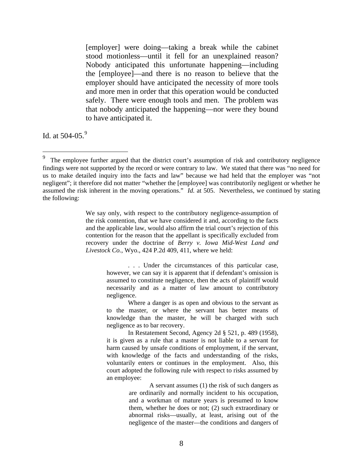[employer] were doing—taking a break while the cabinet stood motionless—until it fell for an unexplained reason? Nobody anticipated this unfortunate happening—including the [employee]—and there is no reason to believe that the employer should have anticipated the necessity of more tools and more men in order that this operation would be conducted safely. There were enough tools and men. The problem was that nobody anticipated the happening—nor were they bound to have anticipated it.

Id. at  $504-05.<sup>9</sup>$  $504-05.<sup>9</sup>$  $504-05.<sup>9</sup>$ 

 $\overline{a}$ 

We say only, with respect to the contributory negligence-assumption of the risk contention, that we have considered it and, according to the facts and the applicable law, would also affirm the trial court's rejection of this contention for the reason that the appellant is specifically excluded from recovery under the doctrine of *Berry v. Iowa Mid-West Land and Livestock Co.*, Wyo., 424 P.2d 409, 411, where we held:

> . . . Under the circumstances of this particular case, however, we can say it is apparent that if defendant's omission is assumed to constitute negligence, then the acts of plaintiff would necessarily and as a matter of law amount to contributory negligence.

> Where a danger is as open and obvious to the servant as to the master, or where the servant has better means of knowledge than the master, he will be charged with such negligence as to bar recovery.

> In Restatement Second, Agency 2d § 521, p. 489 (1958), it is given as a rule that a master is not liable to a servant for harm caused by unsafe conditions of employment, if the servant, with knowledge of the facts and understanding of the risks, voluntarily enters or continues in the employment. Also, this court adopted the following rule with respect to risks assumed by an employee:

> > A servant assumes (1) the risk of such dangers as are ordinarily and normally incident to his occupation, and a workman of mature years is presumed to know them, whether he does or not; (2) such extraordinary or abnormal risks—usually, at least, arising out of the negligence of the master—the conditions and dangers of

<span id="page-8-0"></span><sup>9</sup> The employee further argued that the district court's assumption of risk and contributory negligence findings were not supported by the record or were contrary to law. We stated that there was "no need for us to make detailed inquiry into the facts and law" because we had held that the employer was "not negligent"; it therefore did not matter "whether the [employee] was contributorily negligent or whether he assumed the risk inherent in the moving operations." *Id.* at 505. Nevertheless, we continued by stating the following: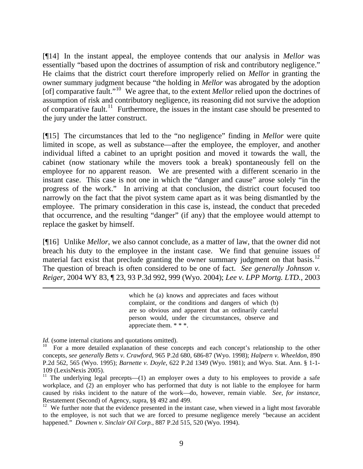[¶14] In the instant appeal, the employee contends that our analysis in *Mellor* was essentially "based upon the doctrines of assumption of risk and contributory negligence." He claims that the district court therefore improperly relied on *Mellor* in granting the owner summary judgment because "the holding in *Mellor* was abrogated by the adoption [of] comparative fault."[10](#page-9-0) We agree that, to the extent *Mellor* relied upon the doctrines of assumption of risk and contributory negligence, its reasoning did not survive the adoption of comparative fault.<sup>[11](#page-9-1)</sup> Furthermore, the issues in the instant case should be presented to the jury under the latter construct.

[¶15] The circumstances that led to the "no negligence" finding in *Mellor* were quite limited in scope, as well as substance—after the employee, the employer, and another individual lifted a cabinet to an upright position and moved it towards the wall, the cabinet (now stationary while the movers took a break) spontaneously fell on the employee for no apparent reason. We are presented with a different scenario in the instant case. This case is not one in which the "danger and cause" arose solely "in the progress of the work." In arriving at that conclusion, the district court focused too narrowly on the fact that the pivot system came apart as it was being dismantled by the employee. The primary consideration in this case is, instead, the conduct that preceded that occurrence, and the resulting "danger" (if any) that the employee would attempt to replace the gasket by himself.

[¶16] Unlike *Mellor*, we also cannot conclude, as a matter of law, that the owner did not breach his duty to the employee in the instant case. We find that genuine issues of material fact exist that preclude granting the owner summary judgment on that basis.<sup>[12](#page-9-2)</sup> The question of breach is often considered to be one of fact. *See generally Johnson v. Reiger*, 2004 WY 83, ¶ 23, 93 P.3d 992, 999 (Wyo. 2004); *Lee v. LPP Mortg. LTD.*, 2003

> which he (a) knows and appreciates and faces without complaint, or the conditions and dangers of which (b) are so obvious and apparent that an ordinarily careful person would, under the circumstances, observe and appreciate them. \* \* \*.

*Id.* (some internal citations and quotations omitted).

<span id="page-9-0"></span><sup>10</sup> For a more detailed explanation of these concepts and each concept's relationship to the other concepts, *see generally Betts v. Crawford,* 965 P.2d 680, 686-87 (Wyo. 1998); *Halpern v. Wheeldon*, 890 P.2d 562, 565 (Wyo. 1995); *Barnette v. Doyle*, 622 P.2d 1349 (Wyo. 1981); and Wyo. Stat. Ann. § 1-1- 109 (LexisNexis 2005).

<span id="page-9-1"></span><sup>&</sup>lt;sup>11</sup> The underlying legal precepts—(1) an employer owes a duty to his employees to provide a safe workplace, and (2) an employer who has performed that duty is not liable to the employee for harm caused by risks incident to the nature of the work—do, however, remain viable. *See, for instance,*  Restatement (Second) of Agency, supra, §§ 492 and 499.

<span id="page-9-2"></span> $12$  We further note that the evidence presented in the instant case, when viewed in a light most favorable to the employee, is not such that we are forced to presume negligence merely "because an accident happened." *Downen v. Sinclair Oil Corp.*, 887 P.2d 515, 520 (Wyo. 1994).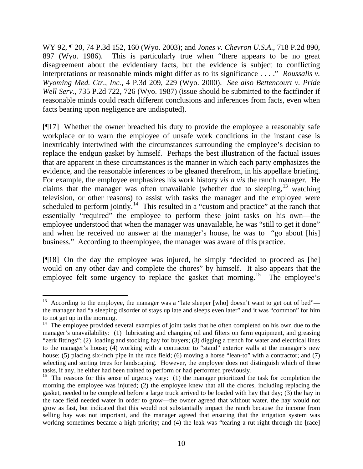WY 92, ¶ 20, 74 P.3d 152, 160 (Wyo. 2003); and *Jones v. Chevron U.S.A.*, 718 P.2d 890, 897 (Wyo. 1986). This is particularly true when "there appears to be no great disagreement about the evidentiary facts, but the evidence is subject to conflicting interpretations or reasonable minds might differ as to its significance . . . ." *Roussalis v. Wyoming Med. Ctr., Inc.*, 4 P.3d 209, 229 (Wyo. 2000). *See also Bettencourt v. Pride Well Serv.*, 735 P.2d 722, 726 (Wyo. 1987) (issue should be submitted to the factfinder if reasonable minds could reach different conclusions and inferences from facts, even when facts bearing upon negligence are undisputed).

[¶17] Whether the owner breached his duty to provide the employee a reasonably safe workplace or to warn the employee of unsafe work conditions in the instant case is inextricably intertwined with the circumstances surrounding the employee's decision to replace the endgun gasket by himself. Perhaps the best illustration of the factual issues that are apparent in these circumstances is the manner in which each party emphasizes the evidence, and the reasonable inferences to be gleaned therefrom, in his appellate briefing. For example, the employee emphasizes his work history *vis a vis* the ranch manager. He claims that the manager was often unavailable (whether due to sleeping,  $13$  watching television, or other reasons) to assist with tasks the manager and the employee were scheduled to perform jointly.<sup>[14](#page-10-1)</sup> This resulted in a "custom and practice" at the ranch that essentially "required" the employee to perform these joint tasks on his own—the employee understood that when the manager was unavailable, he was "still to get it done" and when he received no answer at the manager's house, he was to "go about [his] business." According to theemployee, the manager was aware of this practice.

[¶18] On the day the employee was injured, he simply "decided to proceed as [he] would on any other day and complete the chores" by himself. It also appears that the employee felt some urgency to replace the gasket that morning.<sup>[15](#page-10-2)</sup> The employee's

<span id="page-10-0"></span>According to the employee, the manager was a "late sleeper [who] doesn't want to get out of bed" the manager had "a sleeping disorder of stays up late and sleeps even later" and it was "common" for him to not get up in the morning.

<span id="page-10-1"></span> $14$  The employee provided several examples of joint tasks that he often completed on his own due to the manager's unavailability: (1) lubricating and changing oil and filters on farm equipment, and greasing "zerk fittings"; (2) loading and stocking hay for buyers; (3) digging a trench for water and electrical lines to the manager's house; (4) working with a contractor to "stand" exterior walls at the manager's new house; (5) placing six-inch pipe in the race field; (6) moving a horse "lean-to" with a contractor; and (7) selecting and sorting trees for landscaping. However, the employee does not distinguish which of these tasks, if any, he either had been trained to perform or had performed previously.

<span id="page-10-2"></span><sup>&</sup>lt;sup>15</sup> The reasons for this sense of urgency vary: (1) the manager prioritized the task for completion the morning the employee was injured; (2) the employee knew that all the chores, including replacing the gasket, needed to be completed before a large truck arrived to be loaded with hay that day; (3) the hay in the race field needed water in order to grow—the owner agreed that without water, the hay would not grow as fast, but indicated that this would not substantially impact the ranch because the income from selling hay was not important, and the manager agreed that ensuring that the irrigation system was working sometimes became a high priority; and (4) the leak was "tearing a rut right through the [race]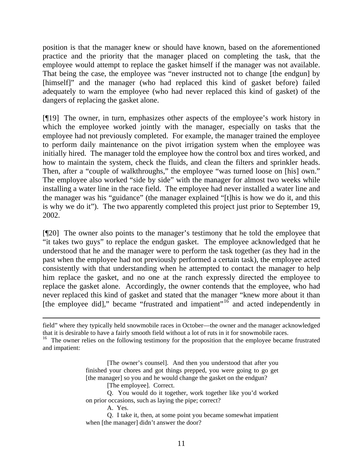position is that the manager knew or should have known, based on the aforementioned practice and the priority that the manager placed on completing the task, that the employee would attempt to replace the gasket himself if the manager was not available. That being the case, the employee was "never instructed not to change [the endgun] by [himself]" and the manager (who had replaced this kind of gasket before) failed adequately to warn the employee (who had never replaced this kind of gasket) of the dangers of replacing the gasket alone.

[¶19] The owner, in turn, emphasizes other aspects of the employee's work history in which the employee worked jointly with the manager, especially on tasks that the employee had not previously completed. For example, the manager trained the employee to perform daily maintenance on the pivot irrigation system when the employee was initially hired. The manager told the employee how the control box and tires worked, and how to maintain the system, check the fluids, and clean the filters and sprinkler heads. Then, after a "couple of walkthroughs," the employee "was turned loose on [his] own." The employee also worked "side by side" with the manager for almost two weeks while installing a water line in the race field. The employee had never installed a water line and the manager was his "guidance" (the manager explained "[t]his is how we do it, and this is why we do it"). The two apparently completed this project just prior to September 19, 2002.

[¶20] The owner also points to the manager's testimony that he told the employee that "it takes two guys" to replace the endgun gasket. The employee acknowledged that he understood that he and the manager were to perform the task together (as they had in the past when the employee had not previously performed a certain task), the employee acted consistently with that understanding when he attempted to contact the manager to help him replace the gasket, and no one at the ranch expressly directed the employee to replace the gasket alone. Accordingly, the owner contends that the employee, who had never replaced this kind of gasket and stated that the manager "knew more about it than [the employee did]," became "frustrated and impatient"<sup>[16](#page-11-0)</sup> and acted independently in

[The employee]. Correct.

A. Yes.

field" where they typically held snowmobile races in October—the owner and the manager acknowledged that it is desirable to have a fairly smooth field without a lot of ruts in it for snowmobile races.

<span id="page-11-0"></span><sup>&</sup>lt;sup>16</sup> The owner relies on the following testimony for the proposition that the employee became frustrated and impatient:

<sup>[</sup>The owner's counsel]. And then you understood that after you finished your chores and got things prepped, you were going to go get [the manager] so you and he would change the gasket on the endgun?

Q. You would do it together, work together like you'd worked on prior occasions, such as laying the pipe; correct?

Q. I take it, then, at some point you became somewhat impatient when [the manager] didn't answer the door?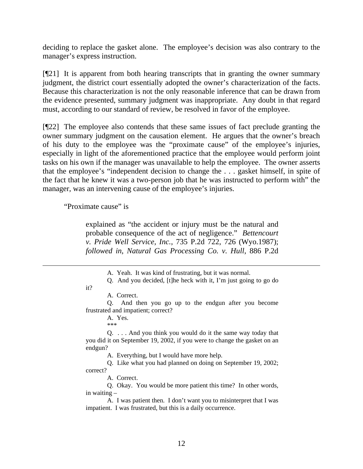deciding to replace the gasket alone. The employee's decision was also contrary to the manager's express instruction.

[¶21] It is apparent from both hearing transcripts that in granting the owner summary judgment, the district court essentially adopted the owner's characterization of the facts. Because this characterization is not the only reasonable inference that can be drawn from the evidence presented, summary judgment was inappropriate. Any doubt in that regard must, according to our standard of review, be resolved in favor of the employee.

[¶22] The employee also contends that these same issues of fact preclude granting the owner summary judgment on the causation element. He argues that the owner's breach of his duty to the employee was the "proximate cause" of the employee's injuries, especially in light of the aforementioned practice that the employee would perform joint tasks on his own if the manager was unavailable to help the employee. The owner asserts that the employee's "independent decision to change the . . . gasket himself, in spite of the fact that he knew it was a two-person job that he was instructed to perform with" the manager, was an intervening cause of the employee's injuries.

"Proximate cause" is

explained as "the accident or injury must be the natural and probable consequence of the act of negligence." *Bettencourt v. Pride Well Service, Inc.*, 735 P.2d 722, 726 (Wyo.1987); *followed in*, *Natural Gas Processing Co. v. Hull*, 886 P.2d

#### it?

 $\overline{a}$ 

Q. And then you go up to the endgun after you become frustrated and impatient; correct?

> A. Yes. \*\*\*

Q. . . . And you think you would do it the same way today that you did it on September 19, 2002, if you were to change the gasket on an endgun?

A. Everything, but I would have more help.

Q. Like what you had planned on doing on September 19, 2002; correct?

A. Correct.

Q. Okay. You would be more patient this time? In other words, in waiting –

A. I was patient then. I don't want you to misinterpret that I was impatient. I was frustrated, but this is a daily occurrence.

A. Yeah. It was kind of frustrating, but it was normal.

Q. And you decided, [t]he heck with it, I'm just going to go do

A. Correct.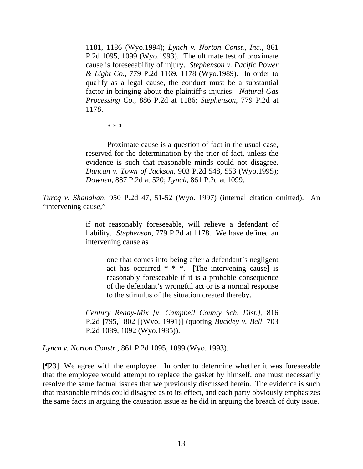1181, 1186 (Wyo.1994); *Lynch v. Norton Const., Inc.*, 861 P.2d 1095, 1099 (Wyo.1993). The ultimate test of proximate cause is foreseeability of injury. *Stephenson v. Pacific Power & Light Co.*, 779 P.2d 1169, 1178 (Wyo.1989). In order to qualify as a legal cause, the conduct must be a substantial factor in bringing about the plaintiff's injuries. *Natural Gas Processing Co.*, 886 P.2d at 1186; *Stephenson*, 779 P.2d at 1178.

\* \* \*

Proximate cause is a question of fact in the usual case, reserved for the determination by the trier of fact, unless the evidence is such that reasonable minds could not disagree. *Duncan v. Town of Jackson*, 903 P.2d 548, 553 (Wyo.1995); *Downen*, 887 P.2d at 520; *Lynch*, 861 P.2d at 1099.

*Turcq v. Shanahan*, 950 P.2d 47, 51-52 (Wyo. 1997) (internal citation omitted). An "intervening cause,"

> if not reasonably foreseeable, will relieve a defendant of liability. *Stephenson*, 779 P.2d at 1178. We have defined an intervening cause as

> > one that comes into being after a defendant's negligent act has occurred \* \* \*. [The intervening cause] is reasonably foreseeable if it is a probable consequence of the defendant's wrongful act or is a normal response to the stimulus of the situation created thereby.

*Century Ready-Mix [v. Campbell County Sch. Dist.]*, 816 P.2d [795,] 802 [(Wyo. 1991)] (quoting *Buckley v. Bell*, 703 P.2d 1089, 1092 (Wyo.1985)).

*Lynch v. Norton Constr.*, 861 P.2d 1095, 1099 (Wyo. 1993).

[¶23] We agree with the employee. In order to determine whether it was foreseeable that the employee would attempt to replace the gasket by himself, one must necessarily resolve the same factual issues that we previously discussed herein. The evidence is such that reasonable minds could disagree as to its effect, and each party obviously emphasizes the same facts in arguing the causation issue as he did in arguing the breach of duty issue.